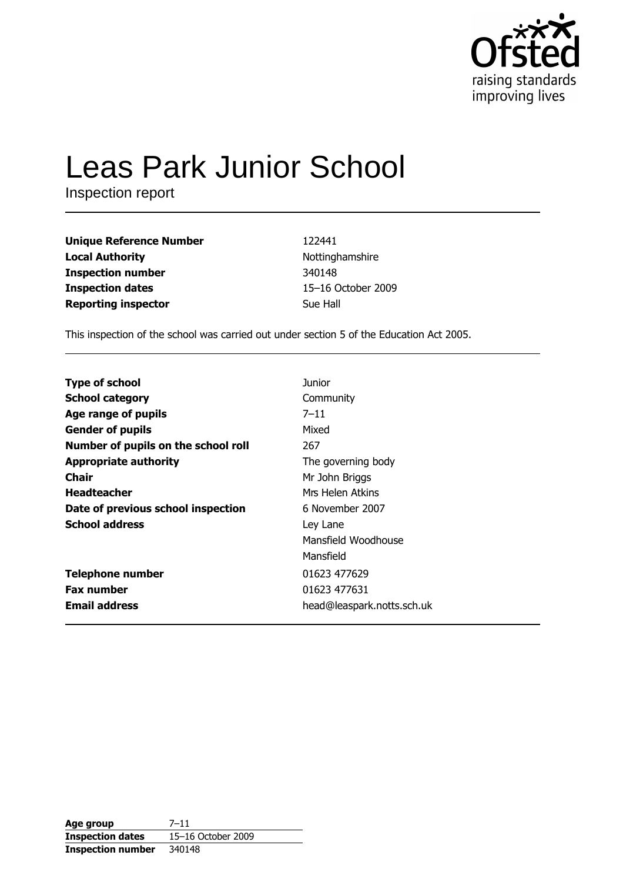

# **Leas Park Junior School**

Inspection report

| Unique Reference Number    | 122441             |
|----------------------------|--------------------|
| Local Authority            | Nottinghamshire    |
| Inspection number          | 340148             |
| <b>Inspection dates</b>    | 15-16 October 2009 |
| <b>Reporting inspector</b> | Sue Hall           |
|                            |                    |

This inspection of the school was carried out under section 5 of the Education Act 2005.

| <b>Type of school</b>               | Junior                     |
|-------------------------------------|----------------------------|
| <b>School category</b>              | Community                  |
| Age range of pupils                 | $7 - 11$                   |
| <b>Gender of pupils</b>             | Mixed                      |
| Number of pupils on the school roll | 267                        |
| <b>Appropriate authority</b>        | The governing body         |
| <b>Chair</b>                        | Mr John Briggs             |
| <b>Headteacher</b>                  | Mrs Helen Atkins           |
| Date of previous school inspection  | 6 November 2007            |
| <b>School address</b>               | Ley Lane                   |
|                                     | Mansfield Woodhouse        |
|                                     | Mansfield                  |
| <b>Telephone number</b>             | 01623 477629               |
| <b>Fax number</b>                   | 01623 477631               |
| <b>Email address</b>                | head@leaspark.notts.sch.uk |

| Age group                | $7 - 11$           |
|--------------------------|--------------------|
| <b>Inspection dates</b>  | 15-16 October 2009 |
| <b>Inspection number</b> | 340148             |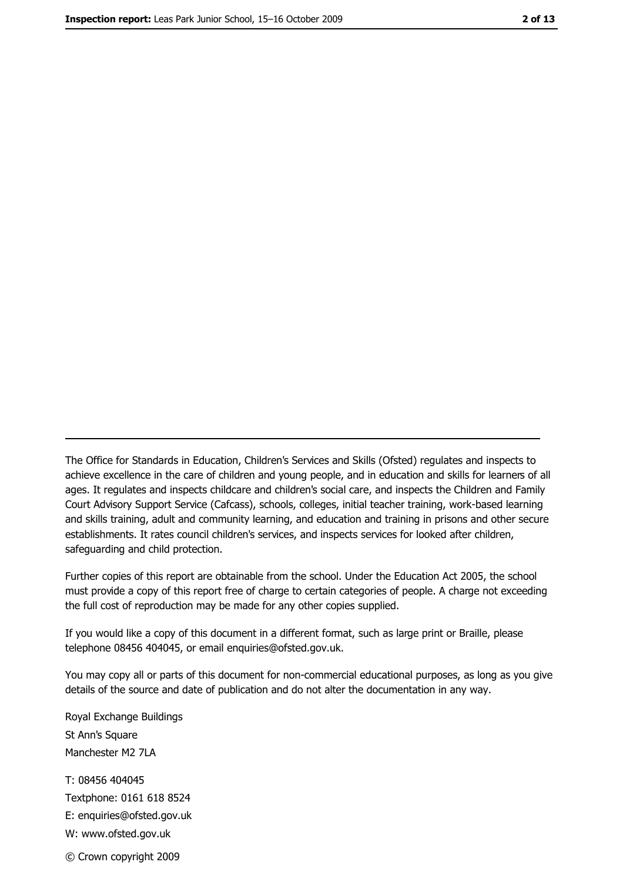The Office for Standards in Education, Children's Services and Skills (Ofsted) regulates and inspects to achieve excellence in the care of children and young people, and in education and skills for learners of all ages. It regulates and inspects childcare and children's social care, and inspects the Children and Family Court Advisory Support Service (Cafcass), schools, colleges, initial teacher training, work-based learning and skills training, adult and community learning, and education and training in prisons and other secure establishments. It rates council children's services, and inspects services for looked after children, safequarding and child protection.

Further copies of this report are obtainable from the school. Under the Education Act 2005, the school must provide a copy of this report free of charge to certain categories of people. A charge not exceeding the full cost of reproduction may be made for any other copies supplied.

If you would like a copy of this document in a different format, such as large print or Braille, please telephone 08456 404045, or email enquiries@ofsted.gov.uk.

You may copy all or parts of this document for non-commercial educational purposes, as long as you give details of the source and date of publication and do not alter the documentation in any way.

Royal Exchange Buildings St Ann's Square Manchester M2 7LA T: 08456 404045 Textphone: 0161 618 8524 E: enquiries@ofsted.gov.uk W: www.ofsted.gov.uk © Crown copyright 2009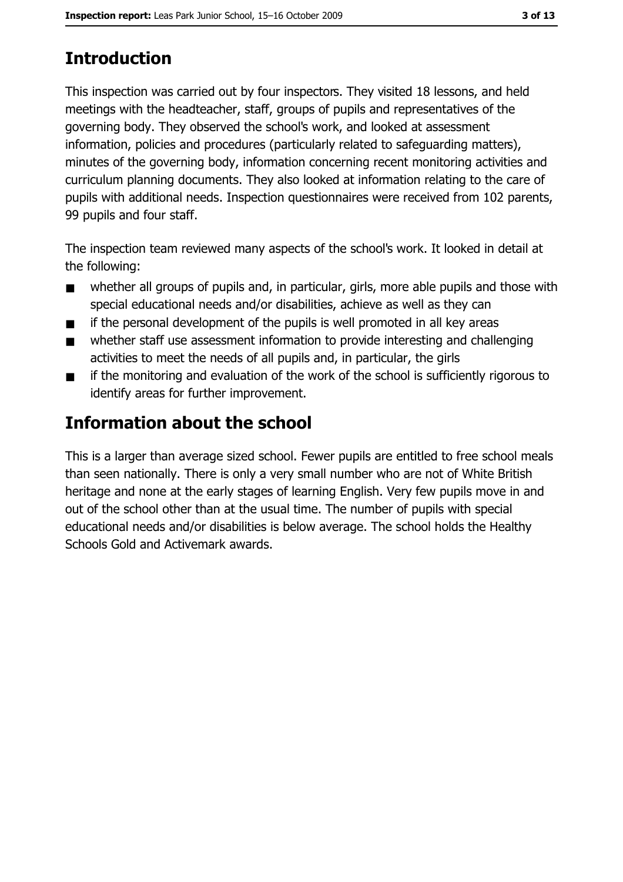# **Introduction**

This inspection was carried out by four inspectors. They visited 18 lessons, and held meetings with the headteacher, staff, groups of pupils and representatives of the governing body. They observed the school's work, and looked at assessment information, policies and procedures (particularly related to safeguarding matters), minutes of the governing body, information concerning recent monitoring activities and curriculum planning documents. They also looked at information relating to the care of pupils with additional needs. Inspection questionnaires were received from 102 parents, 99 pupils and four staff.

The inspection team reviewed many aspects of the school's work. It looked in detail at the following:

- whether all groups of pupils and, in particular, girls, more able pupils and those with  $\blacksquare$ special educational needs and/or disabilities, achieve as well as they can
- if the personal development of the pupils is well promoted in all key areas  $\blacksquare$
- whether staff use assessment information to provide interesting and challenging  $\blacksquare$ activities to meet the needs of all pupils and, in particular, the girls
- if the monitoring and evaluation of the work of the school is sufficiently rigorous to  $\blacksquare$ identify areas for further improvement.

# Information about the school

This is a larger than average sized school. Fewer pupils are entitled to free school meals than seen nationally. There is only a very small number who are not of White British heritage and none at the early stages of learning English. Very few pupils move in and out of the school other than at the usual time. The number of pupils with special educational needs and/or disabilities is below average. The school holds the Healthy Schools Gold and Activemark awards.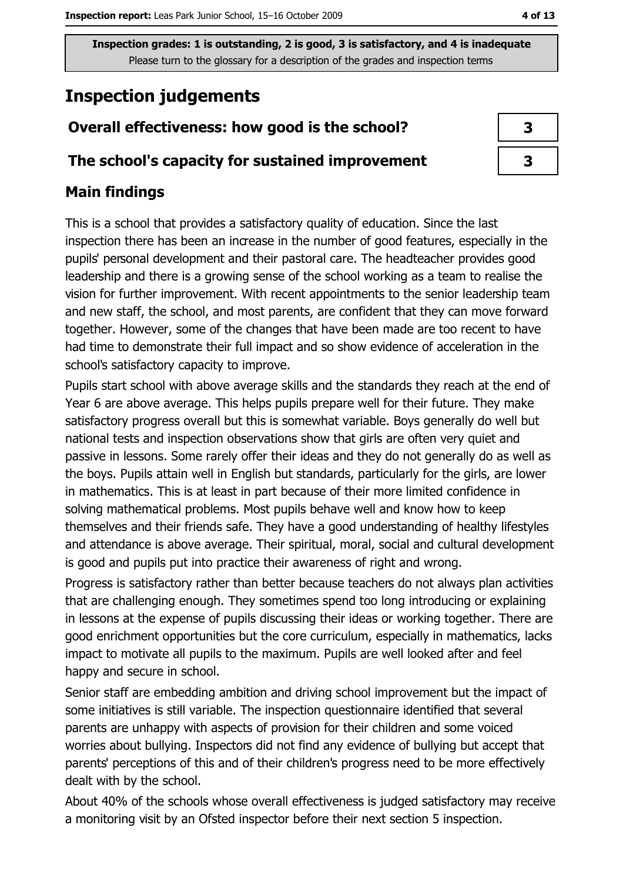# **Inspection judgements**

## Overall effectiveness: how good is the school?

#### The school's capacity for sustained improvement

## **Main findings**

This is a school that provides a satisfactory quality of education. Since the last inspection there has been an increase in the number of good features, especially in the pupils' personal development and their pastoral care. The headteacher provides good leadership and there is a growing sense of the school working as a team to realise the vision for further improvement. With recent appointments to the senior leadership team and new staff, the school, and most parents, are confident that they can move forward together. However, some of the changes that have been made are too recent to have had time to demonstrate their full impact and so show evidence of acceleration in the school's satisfactory capacity to improve.

Pupils start school with above average skills and the standards they reach at the end of Year 6 are above average. This helps pupils prepare well for their future. They make satisfactory progress overall but this is somewhat variable. Boys generally do well but national tests and inspection observations show that girls are often very quiet and passive in lessons. Some rarely offer their ideas and they do not generally do as well as the boys. Pupils attain well in English but standards, particularly for the girls, are lower in mathematics. This is at least in part because of their more limited confidence in solving mathematical problems. Most pupils behave well and know how to keep themselves and their friends safe. They have a good understanding of healthy lifestyles and attendance is above average. Their spiritual, moral, social and cultural development is good and pupils put into practice their awareness of right and wrong.

Progress is satisfactory rather than better because teachers do not always plan activities that are challenging enough. They sometimes spend too long introducing or explaining in lessons at the expense of pupils discussing their ideas or working together. There are good enrichment opportunities but the core curriculum, especially in mathematics, lacks impact to motivate all pupils to the maximum. Pupils are well looked after and feel happy and secure in school.

Senior staff are embedding ambition and driving school improvement but the impact of some initiatives is still variable. The inspection questionnaire identified that several parents are unhappy with aspects of provision for their children and some voiced worries about bullying. Inspectors did not find any evidence of bullying but accept that parents' perceptions of this and of their children's progress need to be more effectively dealt with by the school.

About 40% of the schools whose overall effectiveness is judged satisfactory may receive a monitoring visit by an Ofsted inspector before their next section 5 inspection.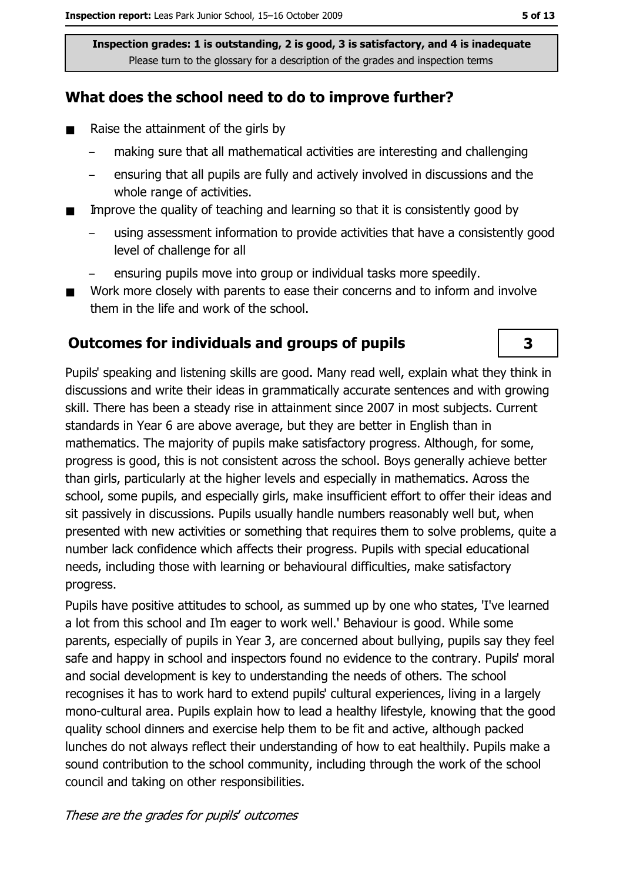## What does the school need to do to improve further?

- $\blacksquare$ Raise the attainment of the girls by
	- making sure that all mathematical activities are interesting and challenging
	- ensuring that all pupils are fully and actively involved in discussions and the whole range of activities.
- Improve the quality of teaching and learning so that it is consistently good by  $\blacksquare$ 
	- using assessment information to provide activities that have a consistently good level of challenge for all
	- ensuring pupils move into group or individual tasks more speedily.
- Work more closely with parents to ease their concerns and to inform and involve  $\blacksquare$ them in the life and work of the school.

#### **Outcomes for individuals and groups of pupils**

Pupils' speaking and listening skills are good. Many read well, explain what they think in discussions and write their ideas in grammatically accurate sentences and with growing skill. There has been a steady rise in attainment since 2007 in most subjects. Current standards in Year 6 are above average, but they are better in English than in mathematics. The majority of pupils make satisfactory progress. Although, for some, progress is good, this is not consistent across the school. Boys generally achieve better than girls, particularly at the higher levels and especially in mathematics. Across the school, some pupils, and especially girls, make insufficient effort to offer their ideas and sit passively in discussions. Pupils usually handle numbers reasonably well but, when presented with new activities or something that requires them to solve problems, quite a number lack confidence which affects their progress. Pupils with special educational needs, including those with learning or behavioural difficulties, make satisfactory progress.

Pupils have positive attitudes to school, as summed up by one who states, 'I've learned a lot from this school and I'm eager to work well.' Behaviour is good. While some parents, especially of pupils in Year 3, are concerned about bullying, pupils say they feel safe and happy in school and inspectors found no evidence to the contrary. Pupils' moral and social development is key to understanding the needs of others. The school recognises it has to work hard to extend pupils' cultural experiences, living in a largely mono-cultural area. Pupils explain how to lead a healthy lifestyle, knowing that the good quality school dinners and exercise help them to be fit and active, although packed lunches do not always reflect their understanding of how to eat healthily. Pupils make a sound contribution to the school community, including through the work of the school council and taking on other responsibilities.

 $\overline{\mathbf{3}}$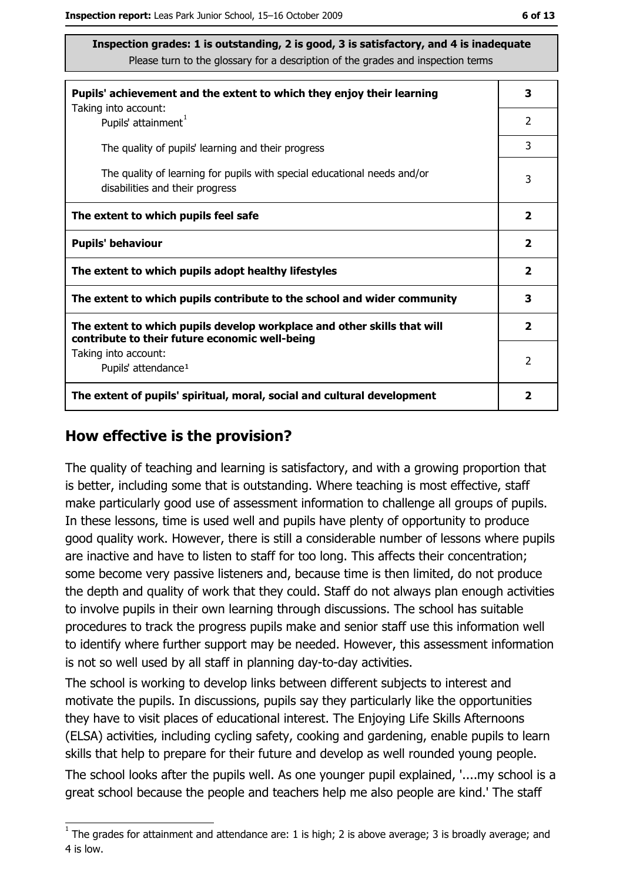| Pupils' achievement and the extent to which they enjoy their learning                                                     |               |
|---------------------------------------------------------------------------------------------------------------------------|---------------|
| Taking into account:<br>Pupils' attainment <sup>1</sup>                                                                   | 2             |
| The quality of pupils' learning and their progress                                                                        | 3             |
| The quality of learning for pupils with special educational needs and/or<br>disabilities and their progress               |               |
| The extent to which pupils feel safe                                                                                      |               |
| <b>Pupils' behaviour</b>                                                                                                  |               |
| The extent to which pupils adopt healthy lifestyles                                                                       |               |
| The extent to which pupils contribute to the school and wider community                                                   |               |
| The extent to which pupils develop workplace and other skills that will<br>contribute to their future economic well-being |               |
| Taking into account:<br>Pupils' attendance <sup>1</sup>                                                                   | $\mathcal{P}$ |
| The extent of pupils' spiritual, moral, social and cultural development                                                   |               |

#### How effective is the provision?

The quality of teaching and learning is satisfactory, and with a growing proportion that is better, including some that is outstanding. Where teaching is most effective, staff make particularly good use of assessment information to challenge all groups of pupils. In these lessons, time is used well and pupils have plenty of opportunity to produce good quality work. However, there is still a considerable number of lessons where pupils are inactive and have to listen to staff for too long. This affects their concentration; some become very passive listeners and, because time is then limited, do not produce the depth and quality of work that they could. Staff do not always plan enough activities to involve pupils in their own learning through discussions. The school has suitable procedures to track the progress pupils make and senior staff use this information well to identify where further support may be needed. However, this assessment information is not so well used by all staff in planning day-to-day activities.

The school is working to develop links between different subjects to interest and motivate the pupils. In discussions, pupils say they particularly like the opportunities they have to visit places of educational interest. The Enjoying Life Skills Afternoons (ELSA) activities, including cycling safety, cooking and gardening, enable pupils to learn skills that help to prepare for their future and develop as well rounded young people. The school looks after the pupils well. As one younger pupil explained, '..., my school is a great school because the people and teachers help me also people are kind.' The staff

 $1$  The grades for attainment and attendance are: 1 is high; 2 is above average; 3 is broadly average; and 4 is low.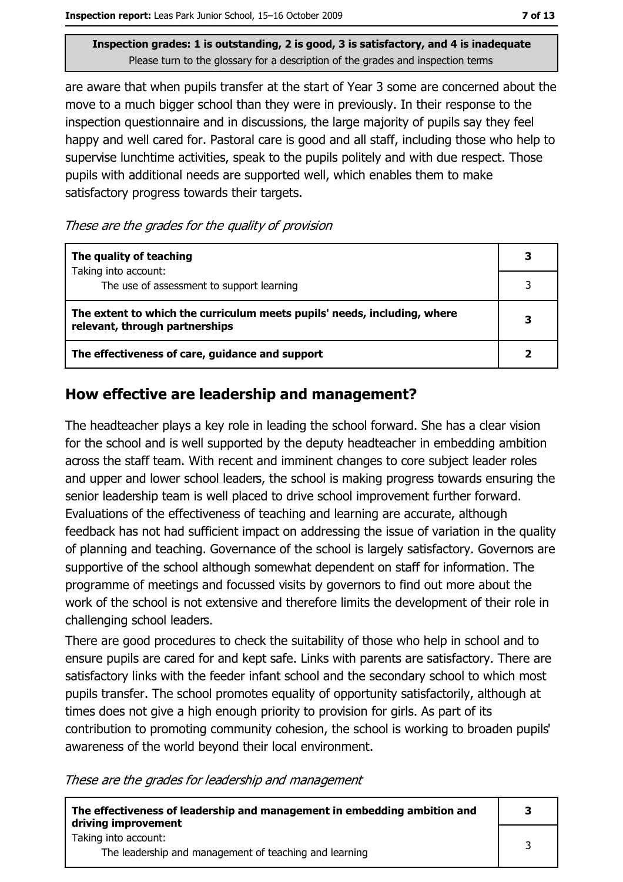are aware that when pupils transfer at the start of Year 3 some are concerned about the move to a much bigger school than they were in previously. In their response to the inspection questionnaire and in discussions, the large majority of pupils say they feel happy and well cared for. Pastoral care is good and all staff, including those who help to supervise lunchtime activities, speak to the pupils politely and with due respect. Those pupils with additional needs are supported well, which enables them to make satisfactory progress towards their targets.

These are the grades for the quality of provision

| The quality of teaching                                                                                    |  |
|------------------------------------------------------------------------------------------------------------|--|
| Taking into account:<br>The use of assessment to support learning                                          |  |
| The extent to which the curriculum meets pupils' needs, including, where<br>relevant, through partnerships |  |
| The effectiveness of care, guidance and support                                                            |  |

#### How effective are leadership and management?

The headteacher plays a key role in leading the school forward. She has a clear vision for the school and is well supported by the deputy headteacher in embedding ambition across the staff team. With recent and imminent changes to core subject leader roles and upper and lower school leaders, the school is making progress towards ensuring the senior leadership team is well placed to drive school improvement further forward. Evaluations of the effectiveness of teaching and learning are accurate, although feedback has not had sufficient impact on addressing the issue of variation in the quality of planning and teaching. Governance of the school is largely satisfactory. Governors are supportive of the school although somewhat dependent on staff for information. The programme of meetings and focussed visits by governors to find out more about the work of the school is not extensive and therefore limits the development of their role in challenging school leaders.

There are good procedures to check the suitability of those who help in school and to ensure pupils are cared for and kept safe. Links with parents are satisfactory. There are satisfactory links with the feeder infant school and the secondary school to which most pupils transfer. The school promotes equality of opportunity satisfactorily, although at times does not give a high enough priority to provision for girls. As part of its contribution to promoting community cohesion, the school is working to broaden pupils' awareness of the world beyond their local environment.

These are the grades for leadership and management

| The effectiveness of leadership and management in embedding ambition and<br>driving improvement |  |
|-------------------------------------------------------------------------------------------------|--|
| Taking into account:<br>The leadership and management of teaching and learning                  |  |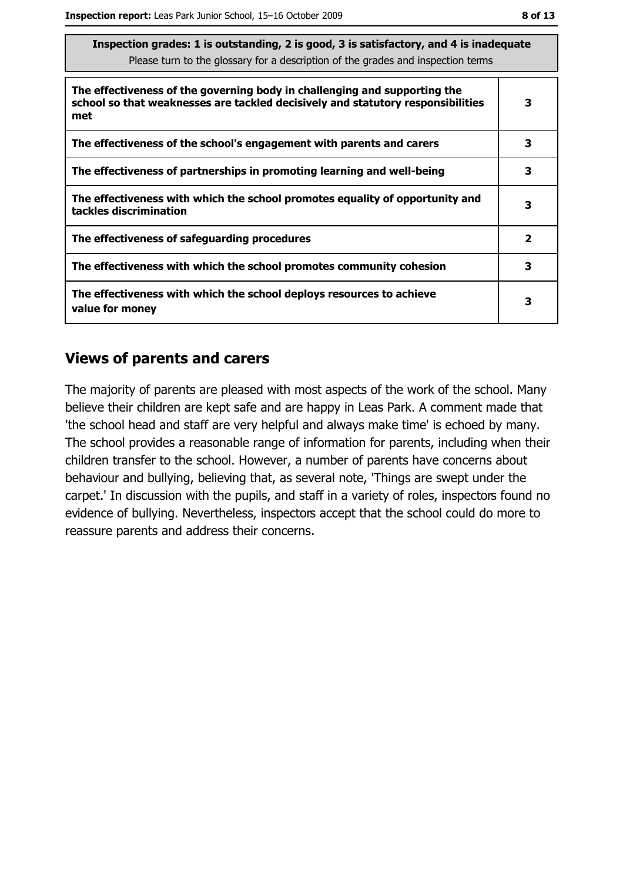| Inspection grades: 1 is outstanding, 2 is good, 3 is satisfactory, and 4 is inadequate<br>Please turn to the glossary for a description of the grades and inspection terms |              |  |
|----------------------------------------------------------------------------------------------------------------------------------------------------------------------------|--------------|--|
| The effectiveness of the governing body in challenging and supporting the<br>school so that weaknesses are tackled decisively and statutory responsibilities<br>met        | 3            |  |
| The effectiveness of the school's engagement with parents and carers                                                                                                       | 3            |  |
| The effectiveness of partnerships in promoting learning and well-being                                                                                                     | 3            |  |
| The effectiveness with which the school promotes equality of opportunity and<br>tackles discrimination                                                                     | 3            |  |
| The effectiveness of safeguarding procedures                                                                                                                               | $\mathbf{2}$ |  |
| The effectiveness with which the school promotes community cohesion                                                                                                        | 3            |  |
| The effectiveness with which the school deploys resources to achieve<br>value for money                                                                                    | 3            |  |

#### **Views of parents and carers**

The majority of parents are pleased with most aspects of the work of the school. Many believe their children are kept safe and are happy in Leas Park. A comment made that 'the school head and staff are very helpful and always make time' is echoed by many. The school provides a reasonable range of information for parents, including when their children transfer to the school. However, a number of parents have concerns about behaviour and bullying, believing that, as several note, 'Things are swept under the carpet.' In discussion with the pupils, and staff in a variety of roles, inspectors found no evidence of bullying. Nevertheless, inspectors accept that the school could do more to reassure parents and address their concerns.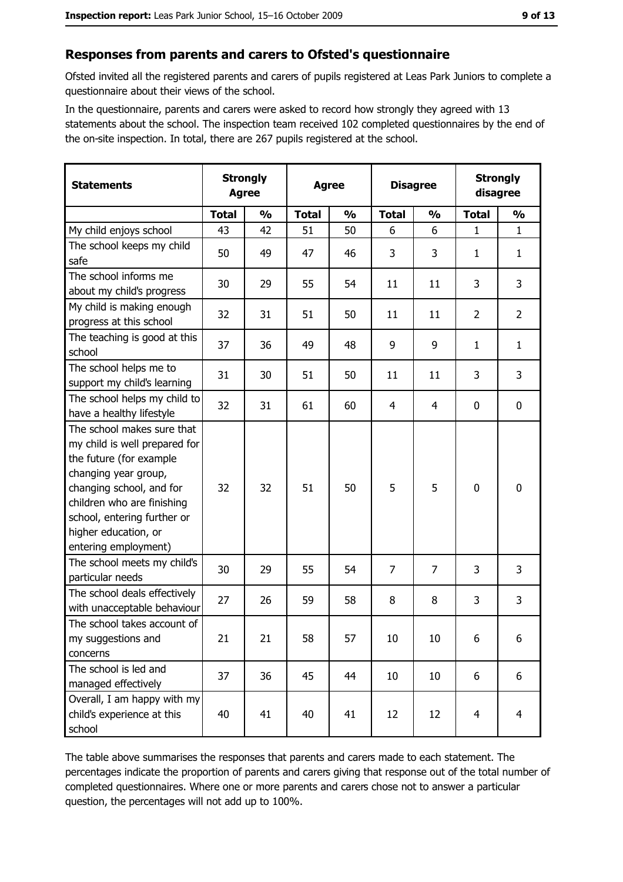## Responses from parents and carers to Ofsted's questionnaire

Ofsted invited all the registered parents and carers of pupils registered at Leas Park Juniors to complete a questionnaire about their views of the school.

In the questionnaire, parents and carers were asked to record how strongly they agreed with 13 statements about the school. The inspection team received 102 completed questionnaires by the end of the on-site inspection. In total, there are 267 pupils registered at the school.

| <b>Statements</b>                                                                                                                                                                                                                                       | <b>Strongly</b><br><b>Agree</b> |               | <b>Agree</b> |               | <b>Disagree</b> |               | <b>Strongly</b><br>disagree |                |
|---------------------------------------------------------------------------------------------------------------------------------------------------------------------------------------------------------------------------------------------------------|---------------------------------|---------------|--------------|---------------|-----------------|---------------|-----------------------------|----------------|
|                                                                                                                                                                                                                                                         | <b>Total</b>                    | $\frac{0}{0}$ | <b>Total</b> | $\frac{0}{0}$ | <b>Total</b>    | $\frac{1}{2}$ | <b>Total</b>                | $\frac{1}{2}$  |
| My child enjoys school                                                                                                                                                                                                                                  | 43                              | 42            | 51           | 50            | 6               | 6             | $\mathbf{1}$                | $\mathbf{1}$   |
| The school keeps my child<br>safe                                                                                                                                                                                                                       | 50                              | 49            | 47           | 46            | 3               | 3             | 1                           | $\mathbf{1}$   |
| The school informs me<br>about my child's progress                                                                                                                                                                                                      | 30                              | 29            | 55           | 54            | 11              | 11            | 3                           | 3              |
| My child is making enough<br>progress at this school                                                                                                                                                                                                    | 32                              | 31            | 51           | 50            | 11              | 11            | $\overline{2}$              | $\overline{2}$ |
| The teaching is good at this<br>school                                                                                                                                                                                                                  | 37                              | 36            | 49           | 48            | 9               | 9             | 1                           | $\mathbf{1}$   |
| The school helps me to<br>support my child's learning                                                                                                                                                                                                   | 31                              | 30            | 51           | 50            | 11              | 11            | 3                           | 3              |
| The school helps my child to<br>have a healthy lifestyle                                                                                                                                                                                                | 32                              | 31            | 61           | 60            | $\overline{4}$  | 4             | 0                           | $\mathbf 0$    |
| The school makes sure that<br>my child is well prepared for<br>the future (for example<br>changing year group,<br>changing school, and for<br>children who are finishing<br>school, entering further or<br>higher education, or<br>entering employment) | 32                              | 32            | 51           | 50            | 5               | 5             | $\mathbf 0$                 | $\mathbf 0$    |
| The school meets my child's<br>particular needs                                                                                                                                                                                                         | 30                              | 29            | 55           | 54            | $\overline{7}$  | 7             | 3                           | 3              |
| The school deals effectively<br>with unacceptable behaviour                                                                                                                                                                                             | 27                              | 26            | 59           | 58            | 8               | 8             | 3                           | 3              |
| The school takes account of<br>my suggestions and<br>concerns                                                                                                                                                                                           | 21                              | 21            | 58           | 57            | 10              | 10            | 6                           | 6              |
| The school is led and<br>managed effectively                                                                                                                                                                                                            | 37                              | 36            | 45           | 44            | 10              | 10            | 6                           | 6              |
| Overall, I am happy with my<br>child's experience at this<br>school                                                                                                                                                                                     | 40                              | 41            | 40           | 41            | 12              | 12            | $\overline{4}$              | $\overline{4}$ |

The table above summarises the responses that parents and carers made to each statement. The percentages indicate the proportion of parents and carers giving that response out of the total number of completed questionnaires. Where one or more parents and carers chose not to answer a particular question, the percentages will not add up to 100%.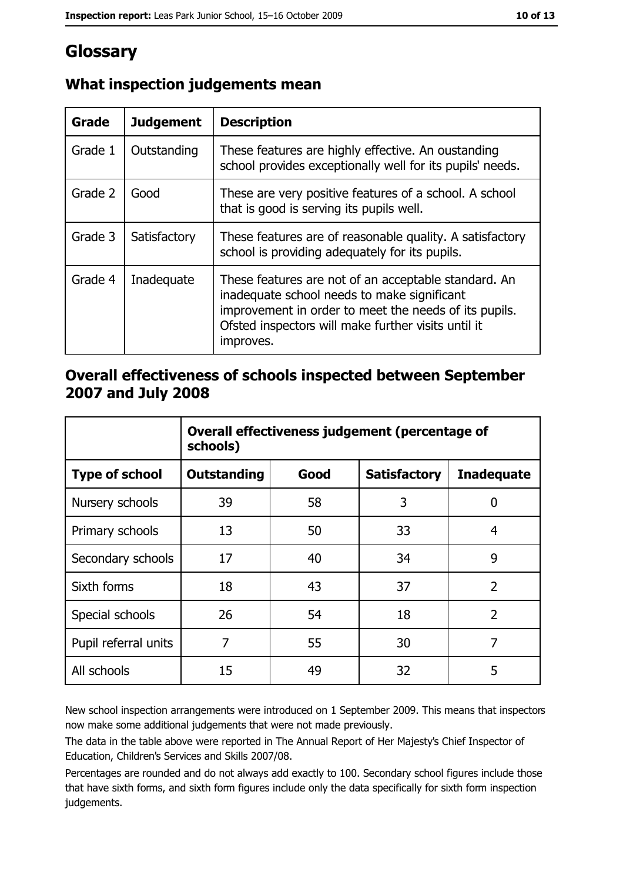# Glossary

| Grade   | <b>Judgement</b> | <b>Description</b>                                                                                                                                                                                                               |
|---------|------------------|----------------------------------------------------------------------------------------------------------------------------------------------------------------------------------------------------------------------------------|
| Grade 1 | Outstanding      | These features are highly effective. An oustanding<br>school provides exceptionally well for its pupils' needs.                                                                                                                  |
| Grade 2 | Good             | These are very positive features of a school. A school<br>that is good is serving its pupils well.                                                                                                                               |
| Grade 3 | Satisfactory     | These features are of reasonable quality. A satisfactory<br>school is providing adequately for its pupils.                                                                                                                       |
| Grade 4 | Inadequate       | These features are not of an acceptable standard. An<br>inadequate school needs to make significant<br>improvement in order to meet the needs of its pupils.<br>Ofsted inspectors will make further visits until it<br>improves. |

# What inspection judgements mean

## Overall effectiveness of schools inspected between September 2007 and July 2008

|                       | Overall effectiveness judgement (percentage of<br>schools) |      |                     |                   |
|-----------------------|------------------------------------------------------------|------|---------------------|-------------------|
| <b>Type of school</b> | Outstanding                                                | Good | <b>Satisfactory</b> | <b>Inadequate</b> |
| Nursery schools       | 39                                                         | 58   | 3                   | 0                 |
| Primary schools       | 13                                                         | 50   | 33                  | 4                 |
| Secondary schools     | 17                                                         | 40   | 34                  | 9                 |
| Sixth forms           | 18                                                         | 43   | 37                  | $\overline{2}$    |
| Special schools       | 26                                                         | 54   | 18                  | $\overline{2}$    |
| Pupil referral units  | 7                                                          | 55   | 30                  | 7                 |
| All schools           | 15                                                         | 49   | 32                  | 5                 |

New school inspection arrangements were introduced on 1 September 2009. This means that inspectors now make some additional judgements that were not made previously.

The data in the table above were reported in The Annual Report of Her Majesty's Chief Inspector of Education, Children's Services and Skills 2007/08.

Percentages are rounded and do not always add exactly to 100. Secondary school figures include those that have sixth forms, and sixth form figures include only the data specifically for sixth form inspection judgements.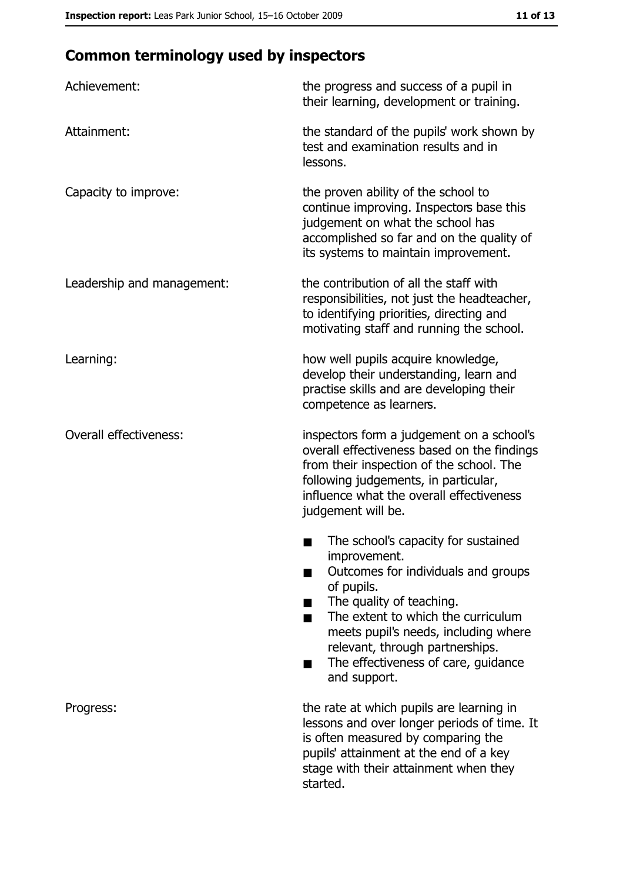# **Common terminology used by inspectors**

| Achievement:                  | the progress and success of a pupil in<br>their learning, development or training.                                                                                                                                                                                                                           |
|-------------------------------|--------------------------------------------------------------------------------------------------------------------------------------------------------------------------------------------------------------------------------------------------------------------------------------------------------------|
| Attainment:                   | the standard of the pupils' work shown by<br>test and examination results and in<br>lessons.                                                                                                                                                                                                                 |
| Capacity to improve:          | the proven ability of the school to<br>continue improving. Inspectors base this<br>judgement on what the school has<br>accomplished so far and on the quality of<br>its systems to maintain improvement.                                                                                                     |
| Leadership and management:    | the contribution of all the staff with<br>responsibilities, not just the headteacher,<br>to identifying priorities, directing and<br>motivating staff and running the school.                                                                                                                                |
| Learning:                     | how well pupils acquire knowledge,<br>develop their understanding, learn and<br>practise skills and are developing their<br>competence as learners.                                                                                                                                                          |
| <b>Overall effectiveness:</b> | inspectors form a judgement on a school's<br>overall effectiveness based on the findings<br>from their inspection of the school. The<br>following judgements, in particular,<br>influence what the overall effectiveness<br>judgement will be.                                                               |
|                               | The school's capacity for sustained<br>improvement.<br>Outcomes for individuals and groups<br>of pupils.<br>The quality of teaching.<br>The extent to which the curriculum<br>meets pupil's needs, including where<br>relevant, through partnerships.<br>The effectiveness of care, guidance<br>and support. |
| Progress:                     | the rate at which pupils are learning in<br>lessons and over longer periods of time. It<br>is often measured by comparing the<br>pupils' attainment at the end of a key<br>stage with their attainment when they<br>started.                                                                                 |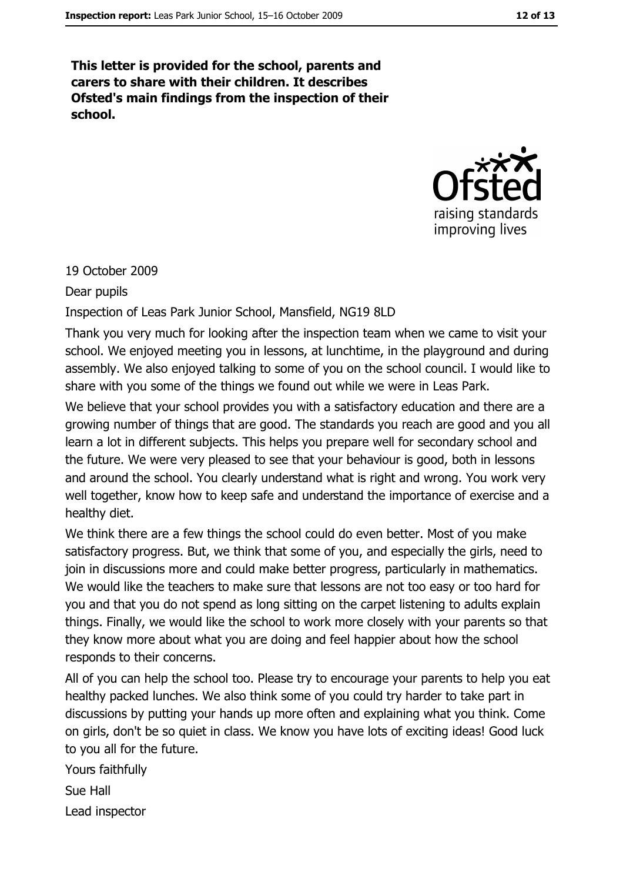This letter is provided for the school, parents and carers to share with their children. It describes Ofsted's main findings from the inspection of their school.



### 19 October 2009

#### Dear pupils

Inspection of Leas Park Junior School, Mansfield, NG19 8LD

Thank you very much for looking after the inspection team when we came to visit your school. We enjoyed meeting you in lessons, at lunchtime, in the playground and during assembly. We also enjoyed talking to some of you on the school council. I would like to share with you some of the things we found out while we were in Leas Park.

We believe that your school provides you with a satisfactory education and there are a growing number of things that are good. The standards you reach are good and you all learn a lot in different subjects. This helps you prepare well for secondary school and the future. We were very pleased to see that your behaviour is good, both in lessons and around the school. You clearly understand what is right and wrong. You work very well together, know how to keep safe and understand the importance of exercise and a healthy diet.

We think there are a few things the school could do even better. Most of you make satisfactory progress. But, we think that some of you, and especially the girls, need to join in discussions more and could make better progress, particularly in mathematics. We would like the teachers to make sure that lessons are not too easy or too hard for you and that you do not spend as long sitting on the carpet listening to adults explain things. Finally, we would like the school to work more closely with your parents so that they know more about what you are doing and feel happier about how the school responds to their concerns.

All of you can help the school too. Please try to encourage your parents to help you eat healthy packed lunches. We also think some of you could try harder to take part in discussions by putting your hands up more often and explaining what you think. Come on girls, don't be so quiet in class. We know you have lots of exciting ideas! Good luck to you all for the future.

Yours faithfully Sue Hall Lead inspector